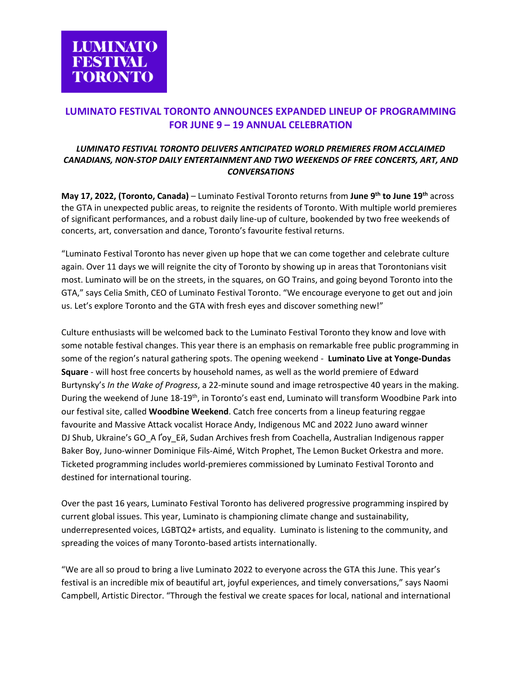# **LUMINATO FESTIVAL TORONTO ANNOUNCES EXPANDED LINEUP OF PROGRAMMING FOR JUNE 9 – 19 ANNUAL CELEBRATION**

## *LUMINATO FESTIVAL TORONTO DELIVERS ANTICIPATED WORLD PREMIERES FROM ACCLAIMED CANADIANS, NON-STOP DAILY ENTERTAINMENT AND TWO WEEKENDS OF FREE CONCERTS, ART, AND CONVERSATIONS*

**May 17, 2022, (Toronto, Canada)** – Luminato Festival Toronto returns from **June 9th to June 19th** across the GTA in unexpected public areas, to reignite the residents of Toronto. With multiple world premieres of significant performances, and a robust daily line-up of culture, bookended by two free weekends of concerts, art, conversation and dance, Toronto's favourite festival returns.

"Luminato Festival Toronto has never given up hope that we can come together and celebrate culture again. Over 11 days we will reignite the city of Toronto by showing up in areas that Torontonians visit most. Luminato will be on the streets, in the squares, on GO Trains, and going beyond Toronto into the GTA," says Celia Smith, CEO of Luminato Festival Toronto. "We encourage everyone to get out and join us. Let's explore Toronto and the GTA with fresh eyes and discover something new!"

Culture enthusiasts will be welcomed back to the Luminato Festival Toronto they know and love with some notable festival changes. This year there is an emphasis on remarkable free public programming in some of the region's natural gathering spots. The opening weekend - **Luminato Live at Yonge-Dundas Square** - will host free concerts by household names, as well as the world premiere of Edward Burtynsky's *In the Wake of Progress*, a 22-minute sound and image retrospective 40 years in the making. During the weekend of June 18-19<sup>th</sup>, in Toronto's east end, Luminato will transform Woodbine Park into our festival site, called **Woodbine Weekend**. Catch free concerts from a lineup featuring reggae favourite and Massive Attack vocalist Horace Andy, Indigenous MC and 2022 Juno award winner DJ Shub, Ukraine's GO A Ґоу Eй, Sudan Archives fresh from Coachella, Australian Indigenous rapper Baker Boy, Juno-winner Dominique Fils-Aimé, Witch Prophet, The Lemon Bucket Orkestra and more. Ticketed programming includes world-premieres commissioned by Luminato Festival Toronto and destined for international touring.

Over the past 16 years, Luminato Festival Toronto has delivered progressive programming inspired by current global issues. This year, Luminato is championing climate change and sustainability, underrepresented voices, LGBTQ2+ artists, and equality. Luminato is listening to the community, and spreading the voices of many Toronto-based artists internationally.

"We are all so proud to bring a live Luminato 2022 to everyone across the GTA this June. This year's festival is an incredible mix of beautiful art, joyful experiences, and timely conversations," says Naomi Campbell, Artistic Director. "Through the festival we create spaces for local, national and international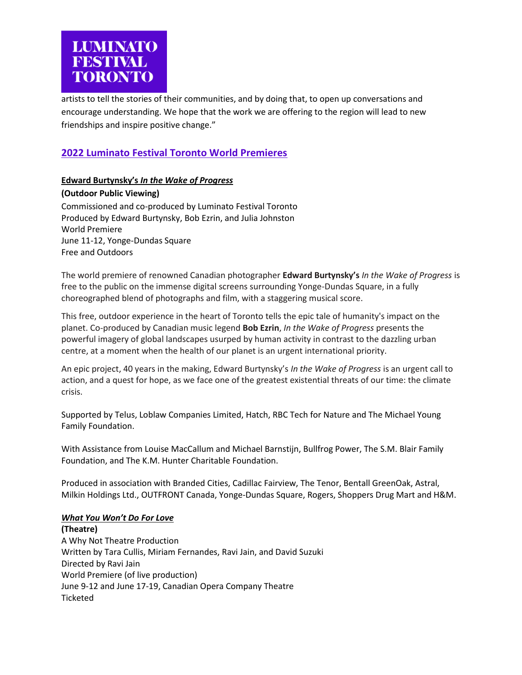

artists to tell the stories of their communities, and by doing that, to open up conversations and encourage understanding. We hope that the work we are offering to the region will lead to new friendships and inspire positive change."

# **2022 Luminato Festival Toronto World Premieres**

## **Edward Burtynsky's** *In the Wake of Progress*

### **(Outdoor Public Viewing)**

Commissioned and co-produced by Luminato Festival Toronto Produced by Edward Burtynsky, Bob Ezrin, and Julia Johnston World Premiere June 11-12, Yonge-Dundas Square Free and Outdoors

The world premiere of renowned Canadian photographer **Edward Burtynsky's** *In the Wake of Progress* is free to the public on the immense digital screens surrounding Yonge-Dundas Square, in a fully choreographed blend of photographs and film, with a staggering musical score.

This free, outdoor experience in the heart of Toronto tells the epic tale of humanity's impact on the planet. Co-produced by Canadian music legend **Bob Ezrin**, *In the Wake of Progress* presents the powerful imagery of global landscapes usurped by human activity in contrast to the dazzling urban centre, at a moment when the health of our planet is an urgent international priority.

An epic project, 40 years in the making, Edward Burtynsky's *In the Wake of Progress* is an urgent call to action, and a quest for hope, as we face one of the greatest existential threats of our time: the climate crisis.

Supported by Telus, Loblaw Companies Limited, Hatch, RBC Tech for Nature and The Michael Young Family Foundation.

With Assistance from Louise MacCallum and Michael Barnstijn, Bullfrog Power, The S.M. Blair Family Foundation, and The K.M. Hunter Charitable Foundation.

Produced in association with Branded Cities, Cadillac Fairview, The Tenor, Bentall GreenOak, Astral, Milkin Holdings Ltd., OUTFRONT Canada, Yonge-Dundas Square, Rogers, Shoppers Drug Mart and H&M.

## *What You Won't Do For Love*

**(Theatre)** A Why Not Theatre Production Written by Tara Cullis, Miriam Fernandes, Ravi Jain, and David Suzuki Directed by Ravi Jain World Premiere (of live production) June 9-12 and June 17-19, Canadian Opera Company Theatre Ticketed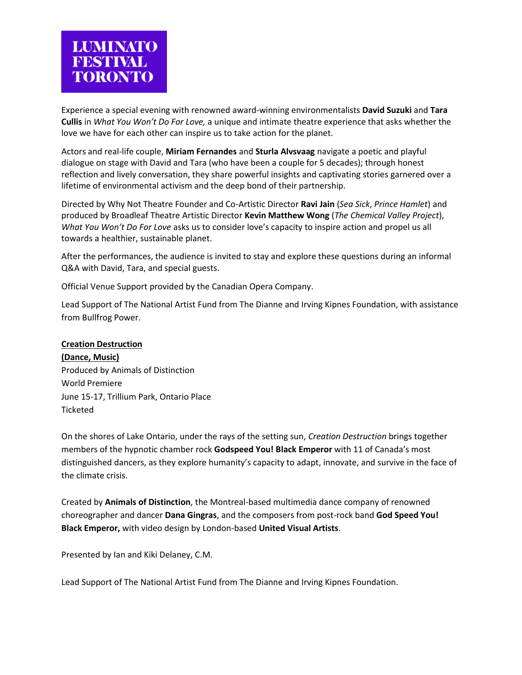

Experience a special evening with renowned award-winning environmentalists **David Suzuki** and **Tara Cullis** in *What You Won't Do For Love,* a unique and intimate theatre experience that asks whether the love we have for each other can inspire us to take action for the planet.

Actors and real-life couple, **Miriam Fernandes** and **Sturla Alvsvaag** navigate a poetic and playful dialogue on stage with David and Tara (who have been a couple for 5 decades); through honest reflection and lively conversation, they share powerful insights and captivating stories garnered over a lifetime of environmental activism and the deep bond of their partnership.

Directed by Why Not Theatre Founder and Co-Artistic Director **Ravi Jain** (*Sea Sick*, *Prince Hamlet*) and produced by Broadleaf Theatre Artistic Director **Kevin Matthew Wong** (*The Chemical Valley Project*), *What You Won't Do For Love* asks us to consider love's capacity to inspire action and propel us all towards a healthier, sustainable planet.

After the performances, the audience is invited to stay and explore these questions during an informal Q&A with David, Tara, and special guests.

Official Venue Support provided by the Canadian Opera Company.

Lead Support of The National Artist Fund from The Dianne and Irving Kipnes Foundation, with assistance from Bullfrog Power.

#### **Creation Destruction**

**(Dance, Music)** Produced by Animals of Distinction World Premiere June 15-17, Trillium Park, Ontario Place Ticketed

On the shores of Lake Ontario, under the rays of the setting sun, *Creation Destruction* brings together members of the hypnotic chamber rock **Godspeed You! Black Emperor** with 11 of Canada's most distinguished dancers, as they explore humanity's capacity to adapt, innovate, and survive in the face of the climate crisis.

Created by **Animals of Distinction**, the Montreal-based multimedia dance company of renowned choreographer and dancer **Dana Gingras**, and the composers from post-rock band **God Speed You! Black Emperor,** with video design by London-based **United Visual Artists**.

Presented by Ian and Kiki Delaney, C.M.

Lead Support of The National Artist Fund from The Dianne and Irving Kipnes Foundation.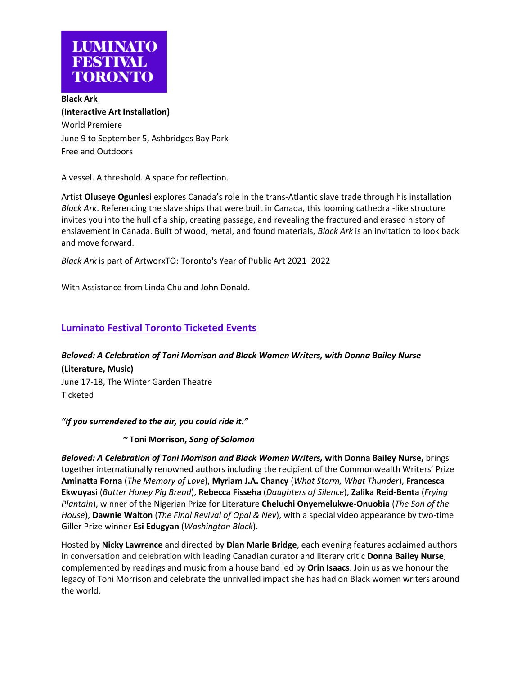

**Black Ark (Interactive Art Installation)** World Premiere June 9 to September 5, Ashbridges Bay Park Free and Outdoors

A vessel. A threshold. A space for reflection.

Artist **Oluseye Ogunlesi** explores Canada's role in the trans-Atlantic slave trade through his installation *Black Ark*. Referencing the slave ships that were built in Canada, this looming cathedral-like structure invites you into the hull of a ship, creating passage, and revealing the fractured and erased history of enslavement in Canada. Built of wood, metal, and found materials, *Black Ark* is an invitation to look back and move forward.

*Black Ark* is part of ArtworxTO: Toronto's Year of Public Art 2021–2022

With Assistance from Linda Chu and John Donald.

## **Luminato Festival Toronto Ticketed Events**

## *Beloved: A Celebration of Toni Morrison and Black Women Writers, with Donna Bailey Nurse*

**(Literature, Music)**  June 17-18, The Winter Garden Theatre Ticketed

*"If you surrendered to the air, you could ride it."*

*~* **Toni Morrison,** *Song of Solomon*

*Beloved: A Celebration of Toni Morrison and Black Women Writers,* **with Donna Bailey Nurse,** brings together internationally renowned authors including the recipient of the Commonwealth Writers' Prize **Aminatta Forna** (*The Memory of Love*), **Myriam J.A. Chancy** (*What Storm, What Thunder*), **Francesca Ekwuyasi** (*Butter Honey Pig Bread*), **Rebecca Fisseha** (*Daughters of Silence*), **Zalika Reid-Benta** (*Frying Plantain*), winner of the Nigerian Prize for Literature **Cheluchi Onyemelukwe-Onuobia** (*The Son of the House*), **Dawnie Walton** (*The Final Revival of Opal & Nev*), with a special video appearance by two-time Giller Prize winner **Esi Edugyan** (*Washington Black*).

Hosted by **Nicky Lawrence** and directed by **Dian Marie Bridge**, each evening features acclaimed authors in conversation and celebration with leading Canadian curator and literary critic **Donna Bailey Nurse**, complemented by readings and music from a house band led by **Orin Isaacs**. Join us as we honour the legacy of Toni Morrison and celebrate the unrivalled impact she has had on Black women writers around the world.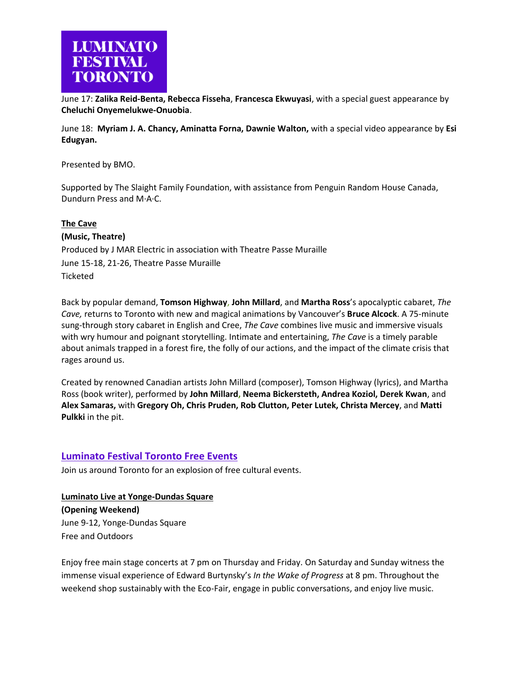

June 17: **Zalika Reid-Benta, Rebecca Fisseha**, **Francesca Ekwuyasi**, with a special guest appearance by **Cheluchi Onyemelukwe-Onuobia**.

June 18: **Myriam J. A. Chancy, Aminatta Forna, Dawnie Walton,** with a special video appearance by **Esi Edugyan.**

Presented by BMO.

Supported by The Slaight Family Foundation, with assistance from Penguin Random House Canada, Dundurn Press and M·A·C.

#### **The Cave**

**(Music, Theatre)** Produced by J MAR Electric in association with Theatre Passe Muraille June 15-18, 21-26, Theatre Passe Muraille **Ticketed** 

Back by popular demand, **Tomson Highway**, **John Millard**, and **Martha Ross**'s apocalyptic cabaret, *The Cave,* returns to Toronto with new and magical animations by Vancouver's **Bruce Alcock**. A 75-minute sung-through story cabaret in English and Cree, *The Cave* combines live music and immersive visuals with wry humour and poignant storytelling. Intimate and entertaining, *The Cave* is a timely parable about animals trapped in a forest fire, the folly of our actions, and the impact of the climate crisis that rages around us.

Created by renowned Canadian artists John Millard (composer), Tomson Highway (lyrics), and Martha Ross (book writer), performed by **John Millard, Neema Bickersteth, Andrea Koziol, Derek Kwan**, and **Alex Samaras,** with **Gregory Oh, Chris Pruden, Rob Clutton, Peter Lutek, Christa Mercey**, and **Matti Pulkki** in the pit.

## **Luminato Festival Toronto Free Events**

Join us around Toronto for an explosion of free cultural events.

**Luminato Live at Yonge-Dundas Square (Opening Weekend)**  June 9-12, Yonge-Dundas Square Free and Outdoors

Enjoy free main stage concerts at 7 pm on Thursday and Friday. On Saturday and Sunday witness the immense visual experience of Edward Burtynsky's *In the Wake of Progress* at 8 pm. Throughout the weekend shop sustainably with the Eco-Fair, engage in public conversations, and enjoy live music.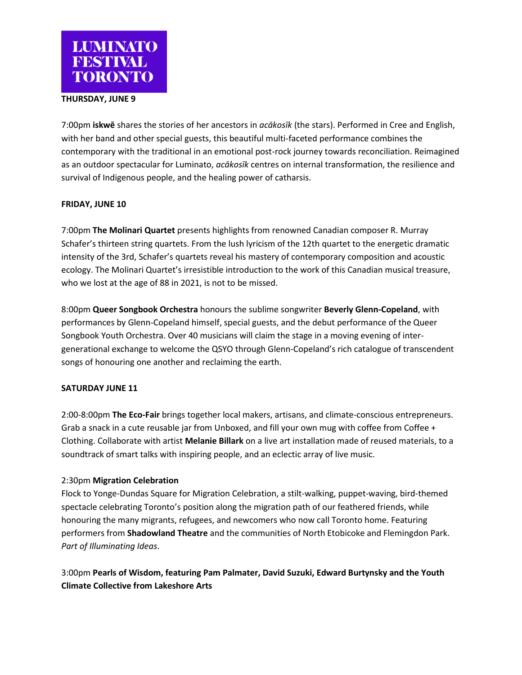

## **THURSDAY, JUNE 9**

7:00pm **iskwē** shares the stories of her ancestors in *acākosīk* (the stars). Performed in Cree and English, with her band and other special guests, this beautiful multi-faceted performance combines the contemporary with the traditional in an emotional post-rock journey towards reconciliation. Reimagined as an outdoor spectacular for Luminato, *acākosīk* centres on internal transformation, the resilience and survival of Indigenous people, and the healing power of catharsis.

### **FRIDAY, JUNE 10**

7:00pm **The Molinari Quartet** presents highlights from renowned Canadian composer R. Murray Schafer's thirteen string quartets. From the lush lyricism of the 12th quartet to the energetic dramatic intensity of the 3rd, Schafer's quartets reveal his mastery of contemporary composition and acoustic ecology. The Molinari Quartet's irresistible introduction to the work of this Canadian musical treasure, who we lost at the age of 88 in 2021, is not to be missed.

8:00pm **Queer Songbook Orchestra** honours the sublime songwriter **Beverly Glenn-Copeland**, with performances by Glenn-Copeland himself, special guests, and the debut performance of the Queer Songbook Youth Orchestra. Over 40 musicians will claim the stage in a moving evening of intergenerational exchange to welcome the QSYO through Glenn-Copeland's rich catalogue of transcendent songs of honouring one another and reclaiming the earth.

#### **SATURDAY JUNE 11**

2:00-8:00pm **The Eco-Fair** brings together local makers, artisans, and climate-conscious entrepreneurs. Grab a snack in a cute reusable jar from Unboxed, and fill your own mug with coffee from Coffee + Clothing. Collaborate with artist **Melanie Billark** on a live art installation made of reused materials, to a soundtrack of smart talks with inspiring people, and an eclectic array of live music.

#### 2:30pm **Migration Celebration**

Flock to Yonge-Dundas Square for Migration Celebration, a stilt-walking, puppet-waving, bird-themed spectacle celebrating Toronto's position along the migration path of our feathered friends, while honouring the many migrants, refugees, and newcomers who now call Toronto home. Featuring performers from **Shadowland Theatre** and the communities of North Etobicoke and Flemingdon Park. *Part of Illuminating Ideas*.

3:00pm **Pearls of Wisdom, featuring Pam Palmater, David Suzuki, Edward Burtynsky and the Youth Climate Collective from Lakeshore Arts**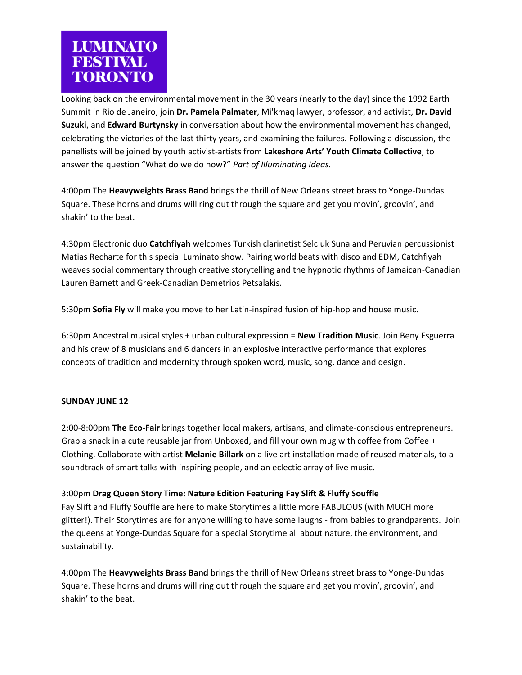

Looking back on the environmental movement in the 30 years (nearly to the day) since the 1992 Earth Summit in Rio de Janeiro, join **Dr. Pamela Palmater**, Mi'kmaq lawyer, professor, and activist, **Dr. David Suzuki**, and **Edward Burtynsky** in conversation about how the environmental movement has changed, celebrating the victories of the last thirty years, and examining the failures. Following a discussion, the panellists will be joined by youth activist-artists from **Lakeshore Arts' Youth Climate Collective**, to answer the question "What do we do now?" *Part of Illuminating Ideas.*

4:00pm The **Heavyweights Brass Band** brings the thrill of New Orleans street brass to Yonge-Dundas Square. These horns and drums will ring out through the square and get you movin', groovin', and shakin' to the beat.

4:30pm Electronic duo **Catchfiyah** welcomes Turkish clarinetist Selcluk Suna and Peruvian percussionist Matias Recharte for this special Luminato show. Pairing world beats with disco and EDM, Catchfiyah weaves social commentary through creative storytelling and the hypnotic rhythms of Jamaican-Canadian Lauren Barnett and Greek-Canadian Demetrios Petsalakis.

5:30pm **Sofia Fly** will make you move to her Latin-inspired fusion of hip-hop and house music.

6:30pm Ancestral musical styles + urban cultural expression = **New Tradition Music**. Join Beny Esguerra and his crew of 8 musicians and 6 dancers in an explosive interactive performance that explores concepts of tradition and modernity through spoken word, music, song, dance and design.

#### **SUNDAY JUNE 12**

2:00-8:00pm **The Eco-Fair** brings together local makers, artisans, and climate-conscious entrepreneurs. Grab a snack in a cute reusable jar from Unboxed, and fill your own mug with coffee from Coffee + Clothing. Collaborate with artist **Melanie Billark** on a live art installation made of reused materials, to a soundtrack of smart talks with inspiring people, and an eclectic array of live music.

#### 3:00pm **Drag Queen Story Time: Nature Edition Featuring Fay Slift & Fluffy Souffle**

Fay Slift and Fluffy Souffle are here to make Storytimes a little more FABULOUS (with MUCH more glitter!). Their Storytimes are for anyone willing to have some laughs - from babies to grandparents.  Join the queens at Yonge-Dundas Square for a special Storytime all about nature, the environment, and sustainability. 

4:00pm The **Heavyweights Brass Band** brings the thrill of New Orleans street brass to Yonge-Dundas Square. These horns and drums will ring out through the square and get you movin', groovin', and shakin' to the beat.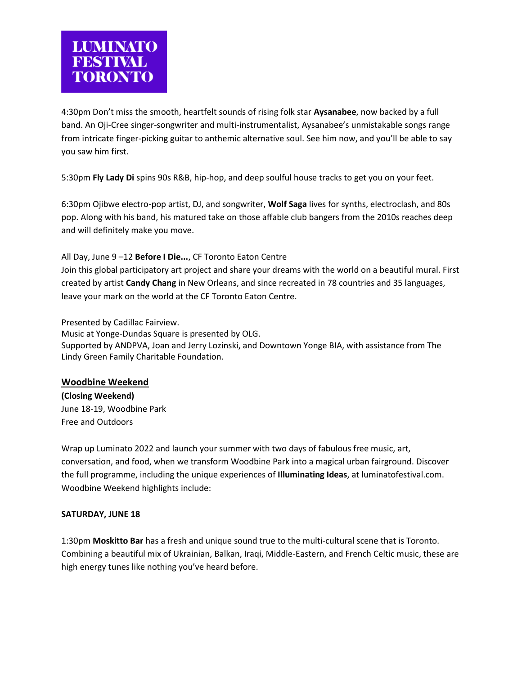4:30pm Don't miss the smooth, heartfelt sounds of rising folk star **Aysanabee**, now backed by a full band. An Oji-Cree singer-songwriter and multi-instrumentalist, Aysanabee's unmistakable songs range from intricate finger-picking guitar to anthemic alternative soul. See him now, and you'll be able to say you saw him first.

5:30pm **Fly Lady Di** spins 90s R&B, hip-hop, and deep soulful house tracks to get you on your feet.

6:30pm Ojibwe electro-pop artist, DJ, and songwriter, **Wolf Saga** lives for synths, electroclash, and 80s pop. Along with his band, his matured take on those affable club bangers from the 2010s reaches deep and will definitely make you move.

## All Day, June 9 –12 **Before I Die...**, CF Toronto Eaton Centre

Join this global participatory art project and share your dreams with the world on a beautiful mural. First created by artist **Candy Chang** in New Orleans, and since recreated in 78 countries and 35 languages, leave your mark on the world at the CF Toronto Eaton Centre.

Presented by Cadillac Fairview.

Music at Yonge-Dundas Square is presented by OLG. Supported by ANDPVA, Joan and Jerry Lozinski, and Downtown Yonge BIA, with assistance from The Lindy Green Family Charitable Foundation.

## **Woodbine Weekend**

**(Closing Weekend)** June 18-19, Woodbine Park Free and Outdoors

Wrap up Luminato 2022 and launch your summer with two days of fabulous free music, art, conversation, and food, when we transform Woodbine Park into a magical urban fairground. Discover the full programme, including the unique experiences of **Illuminating Ideas**, at luminatofestival.com. Woodbine Weekend highlights include:

## **SATURDAY, JUNE 18**

1:30pm **Moskitto Bar** has a fresh and unique sound true to the multi-cultural scene that is Toronto. Combining a beautiful mix of Ukrainian, Balkan, Iraqi, Middle-Eastern, and French Celtic music, these are high energy tunes like nothing you've heard before.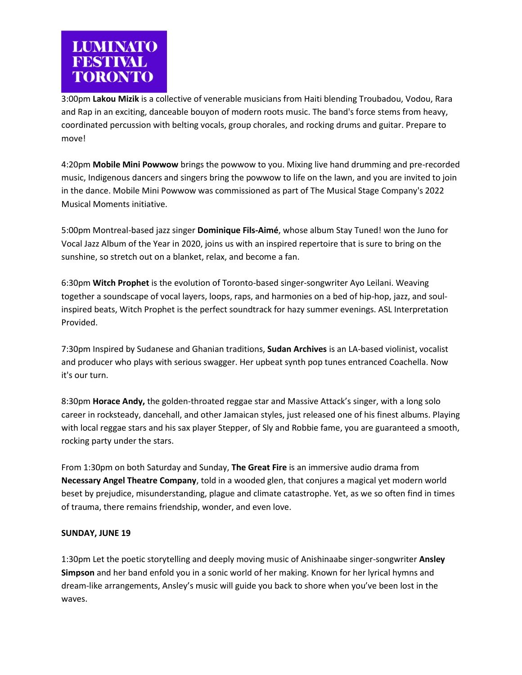

3:00pm **Lakou Mizik** is a collective of venerable musicians from Haiti blending Troubadou, Vodou, Rara and Rap in an exciting, danceable bouyon of modern roots music. The band's force stems from heavy, coordinated percussion with belting vocals, group chorales, and rocking drums and guitar. Prepare to move!

4:20pm **Mobile Mini Powwow** brings the powwow to you. Mixing live hand drumming and pre-recorded music, Indigenous dancers and singers bring the powwow to life on the lawn, and you are invited to join in the dance. Mobile Mini Powwow was commissioned as part of The Musical Stage Company's 2022 Musical Moments initiative.

5:00pm Montreal-based jazz singer **Dominique Fils-Aimé**, whose album Stay Tuned! won the Juno for Vocal Jazz Album of the Year in 2020, joins us with an inspired repertoire that is sure to bring on the sunshine, so stretch out on a blanket, relax, and become a fan.

6:30pm **Witch Prophet** is the evolution of Toronto-based singer-songwriter Ayo Leilani. Weaving together a soundscape of vocal layers, loops, raps, and harmonies on a bed of hip-hop, jazz, and soulinspired beats, Witch Prophet is the perfect soundtrack for hazy summer evenings. ASL Interpretation Provided.

7:30pm Inspired by Sudanese and Ghanian traditions, **Sudan Archives** is an LA-based violinist, vocalist and producer who plays with serious swagger. Her upbeat synth pop tunes entranced Coachella. Now it's our turn.

8:30pm **Horace Andy,** the golden-throated reggae star and Massive Attack's singer, with a long solo career in rocksteady, dancehall, and other Jamaican styles, just released one of his finest albums. Playing with local reggae stars and his sax player Stepper, of Sly and Robbie fame, you are guaranteed a smooth, rocking party under the stars.

From 1:30pm on both Saturday and Sunday, **The Great Fire** is an immersive audio drama from **Necessary Angel Theatre Company**, told in a wooded glen, that conjures a magical yet modern world beset by prejudice, misunderstanding, plague and climate catastrophe. Yet, as we so often find in times of trauma, there remains friendship, wonder, and even love.

## **SUNDAY, JUNE 19**

1:30pm Let the poetic storytelling and deeply moving music of Anishinaabe singer-songwriter **Ansley Simpson** and her band enfold you in a sonic world of her making. Known for her lyrical hymns and dream-like arrangements, Ansley's music will guide you back to shore when you've been lost in the waves.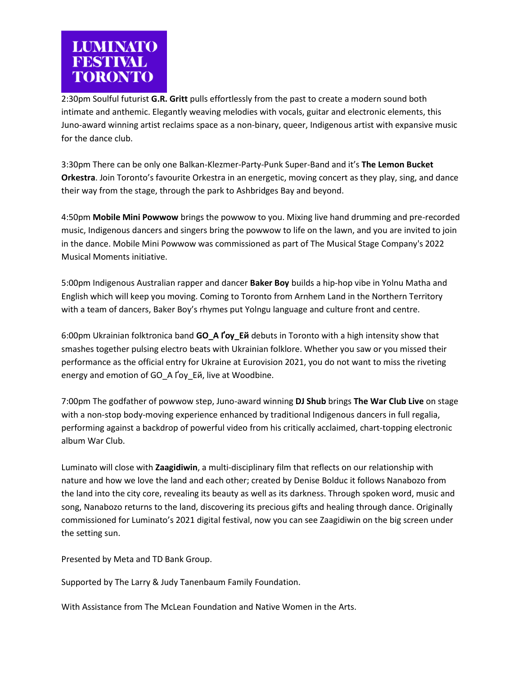

2:30pm Soulful futurist **G.R. Gritt** pulls effortlessly from the past to create a modern sound both intimate and anthemic. Elegantly weaving melodies with vocals, guitar and electronic elements, this Juno-award winning artist reclaims space as a non-binary, queer, Indigenous artist with expansive music for the dance club.

3:30pm There can be only one Balkan-Klezmer-Party-Punk Super-Band and it's **The Lemon Bucket Orkestra**. Join Toronto's favourite Orkestra in an energetic, moving concert as they play, sing, and dance their way from the stage, through the park to Ashbridges Bay and beyond.

4:50pm **Mobile Mini Powwow** brings the powwow to you. Mixing live hand drumming and pre-recorded music, Indigenous dancers and singers bring the powwow to life on the lawn, and you are invited to join in the dance. Mobile Mini Powwow was commissioned as part of The Musical Stage Company's 2022 Musical Moments initiative.

5:00pm Indigenous Australian rapper and dancer **Baker Boy** builds a hip-hop vibe in Yolnu Matha and English which will keep you moving. Coming to Toronto from Arnhem Land in the Northern Territory with a team of dancers, Baker Boy's rhymes put Yolngu language and culture front and centre.

6:00pm Ukrainian folktronica band **GO\_A Ґоу\_Ей** debuts in Toronto with a high intensity show that smashes together pulsing electro beats with Ukrainian folklore. Whether you saw or you missed their performance as the official entry for Ukraine at Eurovision 2021, you do not want to miss the riveting energy and emotion of GO\_A Ґоу\_Ей, live at Woodbine.

7:00pm The godfather of powwow step, Juno-award winning **DJ Shub** brings **The War Club Live** on stage with a non-stop body-moving experience enhanced by traditional Indigenous dancers in full regalia, performing against a backdrop of powerful video from his critically acclaimed, chart-topping electronic album War Club.

Luminato will close with **Zaagidiwin**, a multi-disciplinary film that reflects on our relationship with nature and how we love the land and each other; created by Denise Bolduc it follows Nanabozo from the land into the city core, revealing its beauty as well as its darkness. Through spoken word, music and song, Nanabozo returns to the land, discovering its precious gifts and healing through dance. Originally commissioned for Luminato's 2021 digital festival, now you can see Zaagidiwin on the big screen under the setting sun.

Presented by Meta and TD Bank Group.

Supported by The Larry & Judy Tanenbaum Family Foundation.

With Assistance from The McLean Foundation and Native Women in the Arts.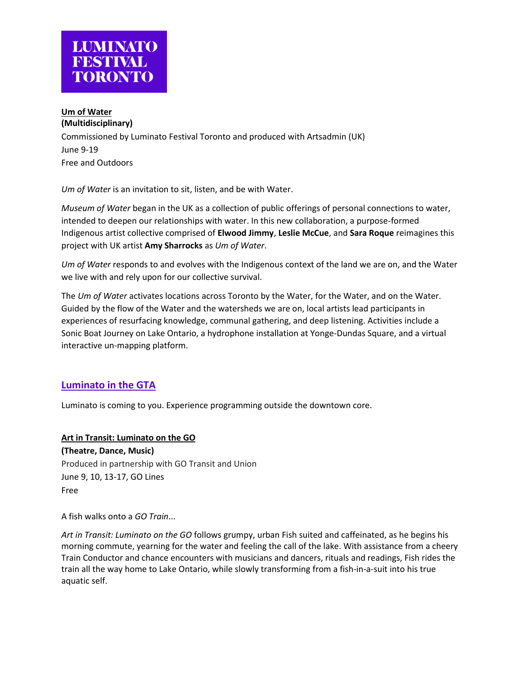

## **Um of Water**

**(Multidisciplinary)** Commissioned by Luminato Festival Toronto and produced with Artsadmin (UK) June 9-19 Free and Outdoors

*Um of Water* is an invitation to sit, listen, and be with Water.

*Museum of Water* began in the UK as a collection of public offerings of personal connections to water, intended to deepen our relationships with water. In this new collaboration, a purpose-formed Indigenous artist collective comprised of **Elwood Jimmy**, **Leslie McCue**, and **Sara Roque** reimagines this project with UK artist **Amy Sharrocks** as *Um of Water*.

*Um of Water* responds to and evolves with the Indigenous context of the land we are on, and the Water we live with and rely upon for our collective survival.

The *Um of Water* activates locations across Toronto by the Water, for the Water, and on the Water. Guided by the flow of the Water and the watersheds we are on, local artists lead participants in experiences of resurfacing knowledge, communal gathering, and deep listening. Activities include a Sonic Boat Journey on Lake Ontario, a hydrophone installation at Yonge-Dundas Square, and a virtual interactive un-mapping platform.

# **Luminato in the GTA**

Luminato is coming to you. Experience programming outside the downtown core.

**Art in Transit: Luminato on the GO (Theatre, Dance, Music)** Produced in partnership with GO Transit and Union June 9, 10, 13-17, GO Lines Free

A fish walks onto a *GO Train*...

*Art in Transit: Luminato on the GO* follows grumpy, urban Fish suited and caffeinated, as he begins his morning commute, yearning for the water and feeling the call of the lake. With assistance from a cheery Train Conductor and chance encounters with musicians and dancers, rituals and readings, Fish rides the train all the way home to Lake Ontario, while slowly transforming from a fish-in-a-suit into his true aquatic self.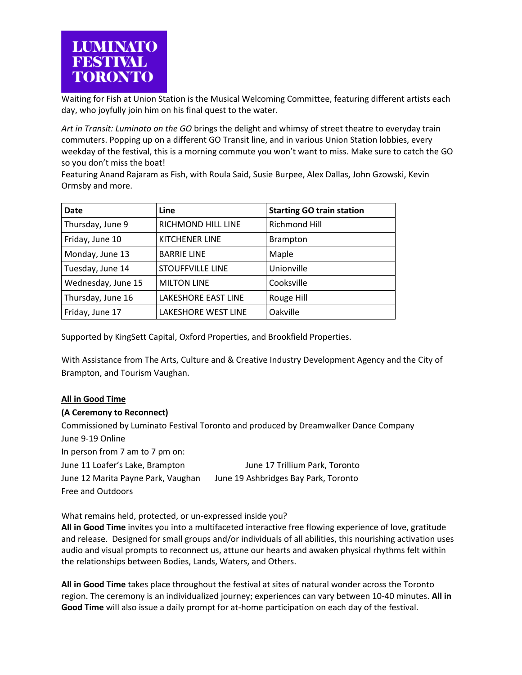

Waiting for Fish at Union Station is the Musical Welcoming Committee, featuring different artists each day, who joyfully join him on his final quest to the water.

*Art in Transit: Luminato on the GO* brings the delight and whimsy of street theatre to everyday train commuters. Popping up on a different GO Transit line, and in various Union Station lobbies, every weekday of the festival, this is a morning commute you won't want to miss. Make sure to catch the GO so you don't miss the boat!

Featuring Anand Rajaram as Fish, with Roula Said, Susie Burpee, Alex Dallas, John Gzowski, Kevin Ormsby and more.

| Date               | Line                    | <b>Starting GO train station</b> |
|--------------------|-------------------------|----------------------------------|
| Thursday, June 9   | RICHMOND HILL LINE      | Richmond Hill                    |
| Friday, June 10    | <b>KITCHENER LINE</b>   | <b>Brampton</b>                  |
| Monday, June 13    | <b>BARRIE LINE</b>      | Maple                            |
| Tuesday, June 14   | <b>STOUFFVILLE LINE</b> | Unionville                       |
| Wednesday, June 15 | <b>MILTON LINE</b>      | Cooksville                       |
| Thursday, June 16  | LAKESHORE EAST LINE     | Rouge Hill                       |
| Friday, June 17    | LAKESHORE WEST LINE     | Oakville                         |

Supported by KingSett Capital, Oxford Properties, and Brookfield Properties.

With Assistance from The Arts, Culture and & Creative Industry Development Agency and the City of Brampton, and Tourism Vaughan.

#### **All in Good Time**

#### **(A Ceremony to Reconnect)**

Commissioned by Luminato Festival Toronto and produced by Dreamwalker Dance Company June 9-19 Online In person from 7 am to 7 pm on: June 11 Loafer's Lake, Brampton June 17 Trillium Park, Toronto June 12 Marita Payne Park, Vaughan June 19 Ashbridges Bay Park, Toronto Free and Outdoors

What remains held, protected, or un-expressed inside you?

**All in Good Time** invites you into a multifaceted interactive free flowing experience of love, gratitude and release. Designed for small groups and/or individuals of all abilities, this nourishing activation uses audio and visual prompts to reconnect us, attune our hearts and awaken physical rhythms felt within the relationships between Bodies, Lands, Waters, and Others.

**All in Good Time** takes place throughout the festival at sites of natural wonder across the Toronto region. The ceremony is an individualized journey; experiences can vary between 10-40 minutes. **All in Good Time** will also issue a daily prompt for at-home participation on each day of the festival.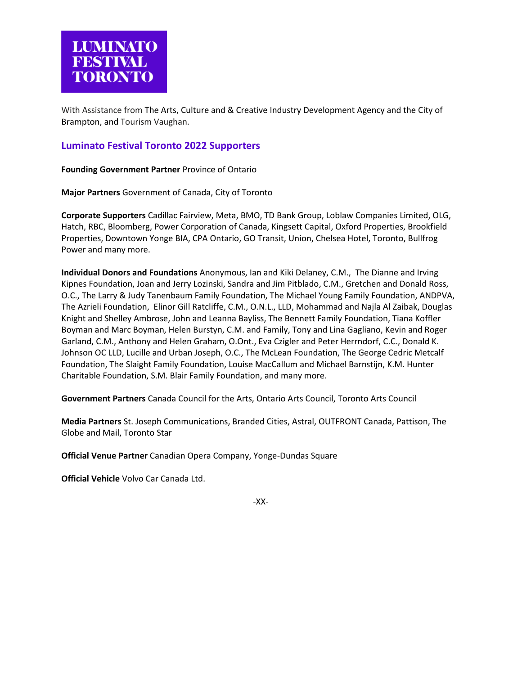With Assistance from The Arts, Culture and & Creative Industry Development Agency and the City of Brampton, and Tourism Vaughan.

## **Luminato Festival Toronto 2022 Supporters**

**Founding Government Partner** Province of Ontario

**Major Partners** Government of Canada, City of Toronto

**Corporate Supporters** Cadillac Fairview, Meta, BMO, TD Bank Group, Loblaw Companies Limited, OLG, Hatch, RBC, Bloomberg, Power Corporation of Canada, Kingsett Capital, Oxford Properties, Brookfield Properties, Downtown Yonge BIA, CPA Ontario, GO Transit, Union, Chelsea Hotel, Toronto, Bullfrog Power and many more.

**Individual Donors and Foundations** Anonymous, Ian and Kiki Delaney, C.M., The Dianne and Irving Kipnes Foundation, Joan and Jerry Lozinski, Sandra and Jim Pitblado, C.M., Gretchen and Donald Ross, O.C., The Larry & Judy Tanenbaum Family Foundation, The Michael Young Family Foundation, ANDPVA, The Azrieli Foundation, Elinor Gill Ratcliffe, C.M., O.N.L., LLD, Mohammad and Najla Al Zaibak, Douglas Knight and Shelley Ambrose, John and Leanna Bayliss, The Bennett Family Foundation, Tiana Koffler Boyman and Marc Boyman, Helen Burstyn, C.M. and Family, Tony and Lina Gagliano, Kevin and Roger Garland, C.M., Anthony and Helen Graham, O.Ont., Eva Czigler and Peter Herrndorf, C.C., Donald K. Johnson OC LLD, Lucille and Urban Joseph, O.C., The McLean Foundation, The George Cedric Metcalf Foundation, The Slaight Family Foundation, Louise MacCallum and Michael Barnstijn, K.M. Hunter Charitable Foundation, S.M. Blair Family Foundation, and many more.

**Government Partners** Canada Council for the Arts, Ontario Arts Council, Toronto Arts Council

**Media Partners** St. Joseph Communications, Branded Cities, Astral, OUTFRONT Canada, Pattison, The Globe and Mail, Toronto Star

**Official Venue Partner** Canadian Opera Company, Yonge-Dundas Square

**Official Vehicle** Volvo Car Canada Ltd.

-XX-